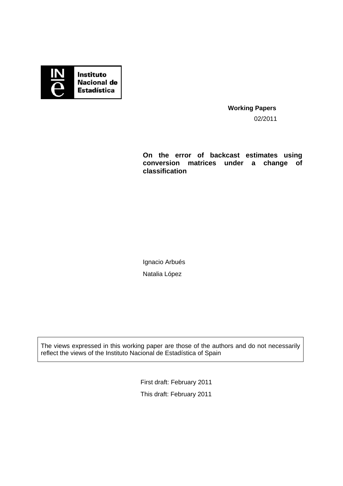

**Working Papers**  02/2011

**On the error of backcast estimates using conversion matrices under a change of classification** 

Ignacio Arbués Natalia López

The views expressed in this working paper are those of the authors and do not necessarily reflect the views of the Instituto Nacional de Estadística of Spain

> First draft: February 2011 This draft: February 2011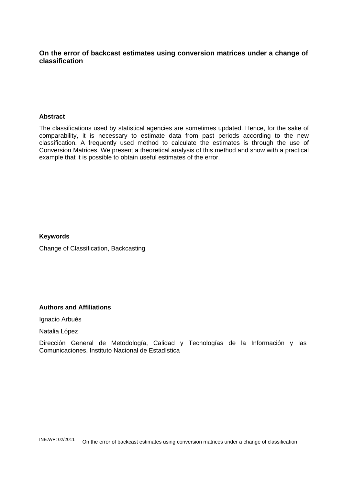## **On the error of backcast estimates using conversion matrices under a change of classification**

## **Abstract**

The classifications used by statistical agencies are sometimes updated. Hence, for the sake of comparability, it is necessary to estimate data from past periods according to the new classification. A frequently used method to calculate the estimates is through the use of Conversion Matrices. We present a theoretical analysis of this method and show with a practical example that it is possible to obtain useful estimates of the error.

## **Keywords**

Change of Classification, Backcasting

## **Authors and Affiliations**

Ignacio Arbués

Natalia López

Dirección General de Metodología, Calidad y Tecnologías de la Información y las Comunicaciones, Instituto Nacional de Estadística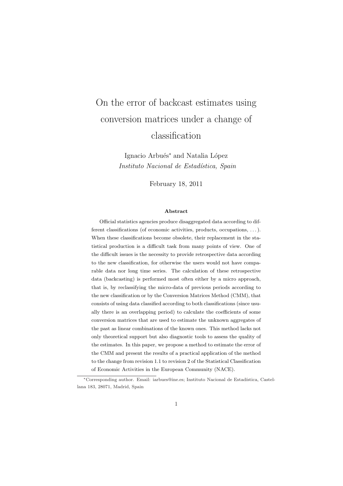# On the error of backcast estimates using conversion matrices under a change of classification

Ignacio Arbués<sup>∗</sup> and Natalia López Instituto Nacional de Estadística, Spain

February 18, 2011

#### Abstract

Official statistics agencies produce disaggregated data according to different classifications (of economic activities, products, occupations, . . . ). When these classifications become obsolete, their replacement in the statistical production is a difficult task from many points of view. One of the difficult issues is the necessity to provide retrospective data according to the new classification, for otherwise the users would not have comparable data nor long time series. The calculation of these retrospective data (backcasting) is performed most often either by a micro approach, that is, by reclassifying the micro-data of previous periods according to the new classification or by the Conversion Matrices Method (CMM), that consists of using data classified according to both classifications (since usually there is an overlapping period) to calculate the coefficients of some conversion matrices that are used to estimate the unknown aggregates of the past as linear combinations of the known ones. This method lacks not only theoretical support but also diagnostic tools to assess the quality of the estimates. In this paper, we propose a method to estimate the error of the CMM and present the results of a practical application of the method to the change from revision 1.1 to revision 2 of the Statistical Classification of Economic Activities in the European Community (NACE).

<sup>\*</sup>Corresponding author. Email: iarbues@ine.es; Instituto Nacional de Estadística, Castellana 183, 28071, Madrid, Spain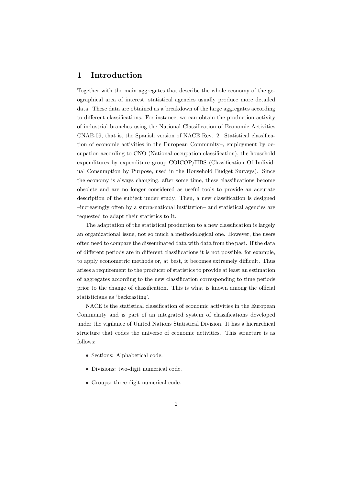# 1 Introduction

Together with the main aggregates that describe the whole economy of the geographical area of interest, statistical agencies usually produce more detailed data. These data are obtained as a breakdown of the large aggregates according to different classifications. For instance, we can obtain the production activity of industrial branches using the National Classification of Economic Activities CNAE-09, that is, the Spanish version of NACE Rev. 2 –Statistical classification of economic activities in the European Community–, employment by occupation according to CNO (National occupation classification), the household expenditures by expenditure group COICOP/HBS (Classification Of Individual Consumption by Purpose, used in the Household Budget Surveys). Since the economy is always changing, after some time, these classifications become obsolete and are no longer considered as useful tools to provide an accurate description of the subject under study. Then, a new classification is designed –increasingly often by a supra-national institution– and statistical agencies are requested to adapt their statistics to it.

The adaptation of the statistical production to a new classification is largely an organizational issue, not so much a methodological one. However, the users often need to compare the disseminated data with data from the past. If the data of different periods are in different classifications it is not possible, for example, to apply econometric methods or, at best, it becomes extremely difficult. Thus arises a requirement to the producer of statistics to provide at least an estimation of aggregates according to the new classification corresponding to time periods prior to the change of classification. This is what is known among the official statisticians as 'backcasting'.

NACE is the statistical classification of economic activities in the European Community and is part of an integrated system of classifications developed under the vigilance of United Nations Statistical Division. It has a hierarchical structure that codes the universe of economic activities. This structure is as follows:

- Sections: Alphabetical code.
- Divisions: two-digit numerical code.
- Groups: three-digit numerical code.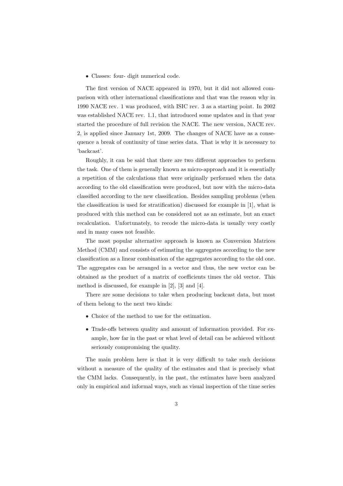• Classes: four- digit numerical code.

The first version of NACE appeared in 1970, but it did not allowed comparison with other international classifications and that was the reason why in 1990 NACE rev. 1 was produced, with ISIC rev. 3 as a starting point. In 2002 was established NACE rev. 1.1, that introduced some updates and in that year started the procedure of full revision the NACE. The new version, NACE rev. 2, is applied since January 1st, 2009. The changes of NACE have as a consequence a break of continuity of time series data. That is why it is necessary to 'backcast'.

Roughly, it can be said that there are two different approaches to perform the task. One of them is generally known as micro-approach and it is essentially a repetition of the calculations that were originally performed when the data according to the old classification were produced, but now with the micro-data classified according to the new classification. Besides sampling problems (when the classification is used for stratification) discussed for example in [1], what is produced with this method can be considered not as an estimate, but an exact recalculation. Unfortunately, to recode the micro-data is usually very costly and in many cases not feasible.

The most popular alternative approach is known as Conversion Matrices Method (CMM) and consists of estimating the aggregates according to the new classification as a linear combination of the aggregates according to the old one. The aggregates can be arranged in a vector and thus, the new vector can be obtained as the product of a matrix of coefficients times the old vector. This method is discussed, for example in [2], [3] and [4].

There are some decisions to take when producing backcast data, but most of them belong to the next two kinds:

- Choice of the method to use for the estimation.
- Trade-offs between quality and amount of information provided. For example, how far in the past or what level of detail can be achieved without seriously compromising the quality.

The main problem here is that it is very difficult to take such decisions without a measure of the quality of the estimates and that is precisely what the CMM lacks. Consequently, in the past, the estimates have been analyzed only in empirical and informal ways, such as visual inspection of the time series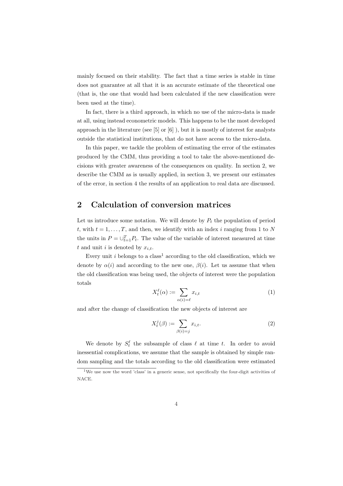mainly focused on their stability. The fact that a time series is stable in time does not guarantee at all that it is an accurate estimate of the theoretical one (that is, the one that would had been calculated if the new classification were been used at the time).

In fact, there is a third approach, in which no use of the micro-data is made at all, using instead econometric models. This happens to be the most developed approach in the literature (see [5] or [6] ), but it is mostly of interest for analysts outside the statistical institutions, that do not have access to the micro-data.

In this paper, we tackle the problem of estimating the error of the estimates produced by the CMM, thus providing a tool to take the above-mentioned decisions with greater awareness of the consequences on quality. In section 2, we describe the CMM as is usually applied, in section 3, we present our estimates of the error, in section 4 the results of an application to real data are discussed.

# 2 Calculation of conversion matrices

Let us introduce some notation. We will denote by  $P_t$  the population of period t, with  $t = 1, \ldots, T$ , and then, we identify with an index i ranging from 1 to N the units in  $P = \bigcup_{t=1}^{T} P_t$ . The value of the variable of interest measured at time t and unit i is denoted by  $x_{i,t}$ .

Every unit  $i$  belongs to a class<sup>1</sup> according to the old classification, which we denote by  $\alpha(i)$  and according to the new one,  $\beta(i)$ . Let us assume that when the old classification was being used, the objects of interest were the population totals

$$
X_t^{\ell}(\alpha) := \sum_{\alpha(i) = \ell} x_{i,t} \tag{1}
$$

and after the change of classification the new objects of interest are

$$
X_t^j(\beta) := \sum_{\beta(i)=j} x_{i,t}.\tag{2}
$$

We denote by  $S_t^{\ell}$  the subsample of class  $\ell$  at time t. In order to avoid inessential complications, we assume that the sample is obtained by simple random sampling and the totals according to the old classification were estimated

 $1$ We use now the word 'class' in a generic sense, not specifically the four-digit activities of NACE.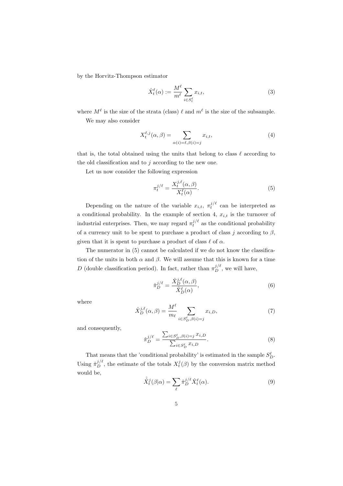by the Horvitz-Thompson estimator

$$
\hat{X}_t^{\ell}(\alpha) := \frac{M^{\ell}}{m^{\ell}} \sum_{i \in S_t^{\ell}} x_{i,t},\tag{3}
$$

where  $M^{\ell}$  is the size of the strata (class)  $\ell$  and  $m^{\ell}$  is the size of the subsample. We may also consider

$$
X_t^{\ell,j}(\alpha,\beta) = \sum_{\alpha(i)=\ell,\beta(i)=j} x_{i,t},\tag{4}
$$

that is, the total obtained using the units that belong to class  $\ell$  according to the old classification and to  $j$  according to the new one.

Let us now consider the following expression

$$
\pi_t^{j/\ell} = \frac{X_t^{j,\ell}(\alpha,\beta)}{X_t^{\ell}(\alpha)}.
$$
\n(5)

Depending on the nature of the variable  $x_{i,t}$ ,  $\pi_t^{j/\ell}$  can be interpreted as a conditional probability. In the example of section 4,  $x_{i,t}$  is the turnover of industrial enterprises. Then, we may regard  $\pi_t^{j/\ell}$  as the conditional probability of a currency unit to be spent to purchase a product of class j according to  $\beta$ , given that it is spent to purchase a product of class  $\ell$  of  $\alpha$ .

The numerator in (5) cannot be calculated if we do not know the classification of the units in both  $\alpha$  and  $\beta$ . We will assume that this is known for a time D (double classification period). In fact, rather than  $\pi_D^{j/\ell}$ , we will have,

$$
\hat{\pi}_D^{j/\ell} = \frac{\hat{X}_D^{j,\ell}(\alpha,\beta)}{\hat{X}_D^{\ell}(\alpha)},\tag{6}
$$

where

$$
\hat{X}_D^{j,\ell}(\alpha,\beta) = \frac{M^{\ell}}{m_{\ell}} \sum_{i \in S_D^{\ell}, \beta(i) = j} x_{i,D},\tag{7}
$$

and consequently,

$$
\hat{\pi}_D^{j/\ell} = \frac{\sum_{i \in S_D^{\ell}, \beta(i) = j} x_{i,D}}{\sum_{i \in S_D^{\ell}} x_{i,D}}.
$$
\n(8)

That means that the 'conditional probability' is estimated in the sample  $S_D^{\ell}$ . Using  $\hat{\pi}_{D}^{j/\ell}$ , the estimate of the totals  $X_i^j(\beta)$  by the conversion matrix method would be,

$$
\hat{\hat{X}}_t^j(\beta|\alpha) = \sum_{\ell} \hat{\pi}_D^{j/\ell} \hat{X}_t^{\ell}(\alpha).
$$
\n(9)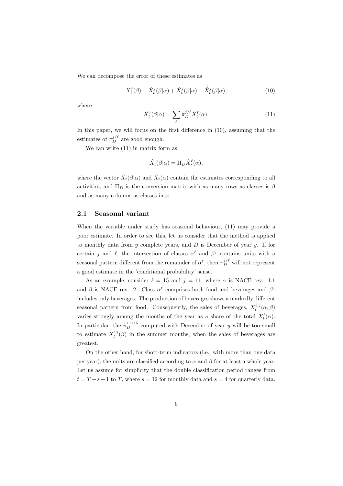We can decompose the error of these estimates as

$$
X_t^j(\beta) - \hat{X}_t^j(\beta|\alpha) + \hat{X}_t^j(\beta|\alpha) - \hat{\hat{X}}_t^j(\beta|\alpha), \tag{10}
$$

where

$$
\hat{X}_t^j(\beta|\alpha) = \sum_{\ell} \pi_D^{j/\ell} \hat{X}_t^{\ell}(\alpha).
$$
\n(11)

In this paper, we will focus on the first difference in  $(10)$ , assuming that the estimates of  $\pi_D^{j/\ell}$  are good enough.

We can write (11) in matrix form as

$$
\hat{X}_t(\beta|\alpha) = \Pi_D \hat{X}_t^{\ell}(\alpha),
$$

where the vector  $\hat{X}_t(\beta|\alpha)$  and  $\hat{X}_t(\alpha)$  contain the estimates corresponding to all activities, and  $\Pi_D$  is the conversion matrix with as many rows as classes is  $\beta$ and as many columns as classes in  $\alpha$ .

#### 2.1 Seasonal variant

When the variable under study has seasonal behaviour, (11) may provide a poor estimate. In order to see this, let us consider that the method is applied to monthly data from  $y$  complete years, and  $D$  is December of year  $y$ . If for certain j and  $\ell$ , the intersection of classes  $\alpha^{\ell}$  and  $\beta^{j}$  contains units with a seasonal pattern different from the remainder of  $\alpha^{\ell}$ , then  $\pi_D^{j/\ell}$  will not represent a good estimate in the 'conditional probability' sense.

As an example, consider  $\ell = 15$  and  $j = 11$ , where  $\alpha$  is NACE rev. 1.1 and  $\beta$  is NACE rev. 2. Class  $\alpha^{\ell}$  comprises both food and beverages and  $\beta^{j}$ includes only beverages. The production of beverages shows a markedly different seasonal pattern from food. Consequently, the sales of beverages,  $X_t^{\ell,j}(\alpha,\beta)$ varies strongly among the months of the year as a share of the total  $X_t^{\ell}(\alpha)$ . In particular, the  $\hat{\pi}_{D}^{11/15}$  computed with December of year y will be too small to estimate  $X_t^{11}(\beta)$  in the summer months, when the sales of beverages are greatest.

On the other hand, for short-term indicators (i.e., with more than one data per year), the units are classified according to  $\alpha$  and  $\beta$  for at least a whole year. Let us assume for simplicity that the double classification period ranges from  $t = T - s + 1$  to T, where  $s = 12$  for monthly data and  $s = 4$  for quarterly data.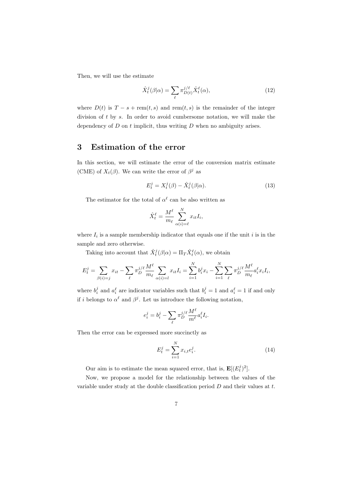Then, we will use the estimate

$$
\hat{X}_t^j(\beta|\alpha) = \sum_{\ell} \pi_{D(t)}^{j/\ell} \hat{X}_t^{\ell}(\alpha),\tag{12}
$$

where  $D(t)$  is  $T - s + \text{rem}(t, s)$  and  $\text{rem}(t, s)$  is the remainder of the integer division of t by s. In order to avoid cumbersome notation, we will make the dependency of  $D$  on  $t$  implicit, thus writing  $D$  when no ambiguity arises.

# 3 Estimation of the error

In this section, we will estimate the error of the conversion matrix estimate (CME) of  $X_t(\beta)$ . We can write the error of  $\beta^j$  as

$$
E_t^j = X_t^j(\beta) - \hat{X}_t^j(\beta|\alpha). \tag{13}
$$

The estimator for the total of  $\alpha^{\ell}$  can be also written as

$$
\hat{X}_t^{\ell} = \frac{M^{\ell}}{m_{\ell}} \sum_{\alpha(i) = \ell}^{N} x_{it} I_i,
$$

where  $I_i$  is a sample membership indicator that equals one if the unit i is in the sample and zero otherwise.

Taking into account that  $\hat{X}^j_t(\beta|\alpha) = \Pi_T \hat{X}^\ell_t(\alpha)$ , we obtain

$$
E_t^j = \sum_{\beta(i)=j} x_{it} - \sum_{\ell} \pi_D^{j/\ell} \frac{M^{\ell}}{m_{\ell}} \sum_{\alpha(i)=l} x_{it} I_i = \sum_{i=1}^N b_i^j x_i - \sum_{i=1}^N \sum_{\ell} \pi_D^{j/\ell} \frac{M^{\ell}}{m_{\ell}} a_i^{\ell} x_i I_i,
$$

where  $b_i^j$  and  $a_i^{\ell}$  are indicator variables such that  $b_i^j = 1$  and  $a_i^{\ell} = 1$  if and only if i belongs to  $\alpha^{\ell}$  and  $\beta^{j}$ . Let us introduce the following notation,

$$
e_i^j = b_i^j - \sum_{\ell} \pi_D^{j/\ell} \frac{M^{\ell}}{m^{\ell}} a_i^{\ell} I_i.
$$

Then the error can be expressed more succinctly as

$$
E_t^j = \sum_{i=1}^N x_{i,t} e_i^j.
$$
 (14)

Our aim is to estimate the mean squared error, that is,  $\mathbf{E}[(E_t^j)^2]$ .

Now, we propose a model for the relationship between the values of the variable under study at the double classification period  $D$  and their values at  $t$ .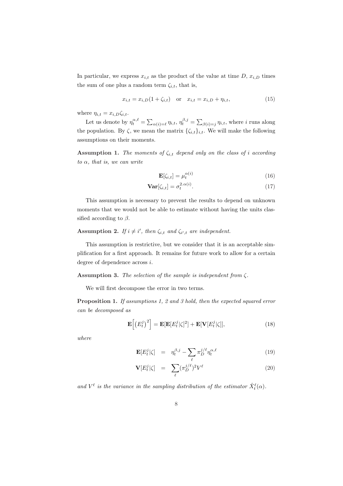In particular, we express  $x_{i,t}$  as the product of the value at time D,  $x_{i,D}$  times the sum of one plus a random term  $\zeta_{i,t}$ , that is,

$$
x_{i,t} = x_{i,D}(1 + \zeta_{i,t}) \quad \text{or} \quad x_{i,t} = x_{i,D} + \eta_{i,t}, \tag{15}
$$

where  $\eta_{i,t} = x_{i,D} \zeta_{i,t}$ .

Let us denote by  $\eta_t^{\alpha,\ell} = \sum$  $\alpha(i) = \ell \eta_{i,t}, \eta_t^{\beta,j} = \sum$  $\beta(i)=j$   $\eta_{i,t}$ , where i runs along the population. By  $\zeta$ , we mean the matrix  $\{\zeta_{i,t}\}_{i,t}$ . We will make the following assumptions on their moments.

**Assumption 1.** The moments of  $\zeta_{i,t}$  depend only on the class of i according to  $\alpha$ , that is, we can write

$$
\mathbf{E}[\zeta_{i,t}] = \mu_t^{\alpha(i)} \tag{16}
$$

$$
\mathbf{Var}[\zeta_{i,t}] = \sigma_t^{2.\alpha(i)}.
$$
\n(17)

This assumption is necessary to prevent the results to depend on unknown moments that we would not be able to estimate without having the units classified according to  $\beta$ .

#### **Assumption 2.** If  $i \neq i'$ , then  $\zeta_{i,t}$  and  $\zeta_{i',t}$  are independent.

This assumption is restrictive, but we consider that it is an acceptable simplification for a first approach. It remains for future work to allow for a certain degree of dependence across i.

#### Assumption 3. The selection of the sample is independent from ζ.

We will first decompose the error in two terms.

Proposition 1. If assumptions 1, 2 and 3 hold, then the expected squared error can be decomposed as

$$
\mathbf{E}\left[\left(E_t^j\right)^2\right] = \mathbf{E}[\mathbf{E}[E_t^j|\zeta]^2] + \mathbf{E}[\mathbf{V}[E_t^j|\zeta]],\tag{18}
$$

where

$$
\mathbf{E}[E_t^j|\zeta] = \eta_t^{\beta,j} - \sum_{\ell} \pi_D^{j/\ell} \eta_t^{\alpha,\ell} \tag{19}
$$

$$
\mathbf{V}[E_t^j|\zeta] = \sum_{\ell} (\pi_D^{j/\ell})^2 V^{\ell} \tag{20}
$$

and  $V^{\ell}$  is the variance in the sampling distribution of the estimator  $\hat{X}_{t}^{\ell}(\alpha)$ .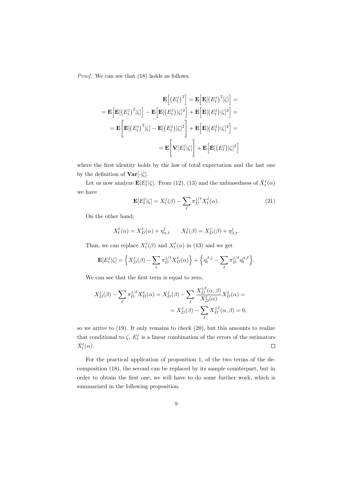Proof. We can see that (18) holds as follows.

$$
\mathbf{E}\left[(E_t^j)^2\right] = \mathbf{E}\left[\mathbf{E}[(E_t^j)^2|\zeta]\right] =
$$
\n
$$
= \mathbf{E}\left[\mathbf{E}[(E_t^j)^2|\zeta]\right] - \mathbf{E}\left[\mathbf{E}[(E_t^j)|\zeta]^2\right] + \mathbf{E}\left[\mathbf{E}[(E_t^j)|\zeta]^2\right] =
$$
\n
$$
= \mathbf{E}\left[\mathbf{E}[(E_t^j)^2|\zeta] - \mathbf{E}[(E_t^j)|\zeta]^2\right] + \mathbf{E}\left[\mathbf{E}[(E_t^j)|\zeta]^2\right] =
$$
\n
$$
= \mathbf{E}\left[\mathbf{V}[E_t^j|\zeta]\right] + \mathbf{E}\left[\mathbf{E}[(E_t^j)|\zeta]^2\right]
$$

where the first identity holds by the law of total expectation and the last one by the definition of  $\text{Var}[\cdot|\zeta]$ .

Let us now analyze  $\mathbf{E}[E_t^j | \zeta]$ . From (12), (13) and the unbiasedness of  $\hat{X}_t^{\ell}(\alpha)$ we have

$$
\mathbf{E}[E_t^j|\zeta] = X_t^j(\beta) - \sum_{\ell} \pi_D^{j/\ell} X_t^{\ell}(\alpha).
$$
 (21)

On the other hand,

$$
X_t^{\ell}(\alpha) = X_D^{\ell}(\alpha) + \eta_{\alpha,t}^{\ell} \qquad X_t^j(\beta) = X_D^j(\beta) + \eta_{\beta,t}^j.
$$

Thus, we can replace  $X_t^j(\beta)$  and  $X_t^{\ell}(\alpha)$  in (13) and we get

$$
\mathbf{E}[E_t^j|\zeta] = \left\{ X_D^j(\beta) - \sum_{\ell} \pi_D^{j/\ell} X_D^{\ell}(\alpha) \right\} + \left\{ \eta_t^{\beta,j} - \sum_{\ell} \pi_D^{j/\ell} \eta_t^{\alpha,\ell} \right\}.
$$

We can see that the first term is equal to zero,

$$
X_D^j(\beta) - \sum_{\ell} \pi_D^{j/\ell} X_D^{\ell}(\alpha) = X_D^j(\beta) - \sum_{\ell} \frac{X_D^{j,\ell}(\alpha, \beta)}{X_D^{\ell}(\alpha)} X_D^{\ell}(\alpha) =
$$
  

$$
= X_D^j(\beta) - \sum_{\ell} X_D^{j,\ell}(\alpha, \beta) = 0,
$$

so we arrive to (19). It only remains to check (20), but this amounts to realize that conditional to  $\zeta$ ,  $E_t^j$  is a linear combination of the errors of the estimators  $\hat{X}_{t}^{\ell}(\alpha)$ .  $\Box$ 

For the practical application of proposition 1, of the two terms of the decomposition (18), the second can be replaced by its sample counterpart, but in order to obtain the first one, we will have to do some further work, which is summarized in the following proposition.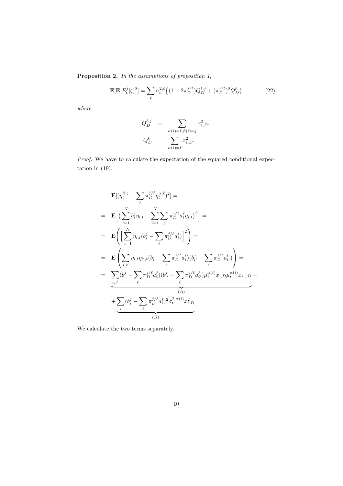Proposition 2. In the assumptions of proposition 1,

$$
\mathbf{E}[\mathbf{E}[E_t^j|\zeta]^2] = \sum_{\ell} \sigma_t^{2,\ell} \left\{ (1 - 2\pi_D^{j/\ell}) Q_D^{\ell,j} + (\pi_D^{j/\ell})^2 Q_D^{\ell} \right\} \tag{22}
$$

where

$$
Q_D^{\ell,j} = \sum_{\alpha(i) = \ell, \beta(i) = j} x_{i,D}^2,
$$
  

$$
Q_D^{\ell} = \sum_{\alpha(i) = \ell} x_{i,D}^2.
$$

Proof. We have to calculate the expectation of the squared conditional expectation in (19).

$$
\mathbf{E}[(\eta_t^{\beta,j} - \sum_{\ell} \pi_D^{j/\ell} \eta_t^{\alpha,\ell})^2] =
$$
\n
$$
= \mathbf{E}\Big[ \Big( \sum_{i=1}^N b_i^j \eta_{i,t} - \sum_{i=1}^N \sum_{\ell} \pi_D^{j/\ell} a_i^{\ell} \eta_{i,t} \Big)^2 \Big] =
$$
\n
$$
= \mathbf{E}\Bigg( \Big[ \sum_{i=1}^N \eta_{i,t} (b_i^j - \sum_{\ell} \pi_D^{j/\ell} a_i^{\ell}) \Big]^2 \Bigg) =
$$
\n
$$
= \mathbf{E}\Bigg( \sum_{i,i'} \eta_{i,t} \eta_{i',t} (b_i^j - \sum_{\ell} \pi_D^{j/\ell} a_i^{\ell}) (b_{i'}^j - \sum_{\ell} \pi_D^{j/\ell} a_{i'}^{\ell}) \Bigg) =
$$
\n
$$
= \sum_{i,i'} (b_i^j - \sum_{\ell} \pi_D^{j/\ell} a_i^{\ell}) (b_{i'}^j - \sum_{\ell} \pi_D^{j/\ell} a_{i'}^{\ell}) \mu_t^{\alpha(i)} x_{i,D} \mu_t^{\alpha(i)} x_{i',D} +
$$
\n
$$
+ \sum_{i'} (b_i^j - \sum_{\ell} \pi_D^{j/\ell} a_i^{\ell})^2 \sigma_t^{2,\alpha(i)} x_{i,D}^2 \Bigg)
$$
\n(B)

We calculate the two terms separately.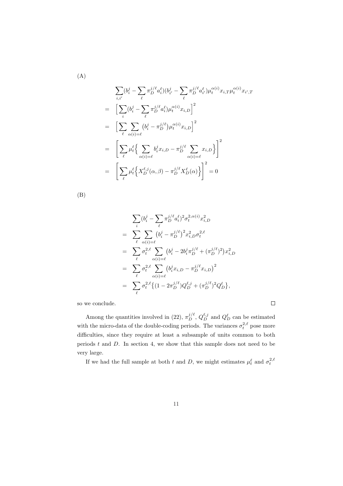$$
\sum_{i,i'} (b_i^j - \sum_{\ell} \pi_D^{j/\ell} a_i^{\ell}) (b_{i'}^j - \sum_{\ell} \pi_D^{j/\ell} a_{i'}^{\ell}) \mu_i^{\alpha(i)} x_{i,T} \mu_i^{\alpha(i)} x_{i',T}
$$
\n
$$
= \left[ \sum_i (b_i^j - \sum_{\ell} \pi_D^{j/\ell} a_i^{\ell}) \mu_i^{\alpha(i)} x_{i,D} \right]^2
$$
\n
$$
= \left[ \sum_{\ell} \sum_{\alpha(i) = \ell} (b_i^j - \pi_D^{j/\ell}) \mu_i^{\alpha(i)} x_{i,D} \right]^2
$$
\n
$$
= \left[ \sum_{\ell} \mu_i^{\ell} \left\{ \sum_{\alpha(i) = \ell} b_i^j x_{i,D} - \pi_D^{j/\ell} \sum_{\alpha(i) = \ell} x_{i,D} \right\} \right]^2
$$
\n
$$
= \left[ \sum_{\ell} \mu_i^{\ell} \left\{ X_D^{\ell,j}(\alpha, \beta) - \pi_D^{j/\ell} X_D^{\ell}(\alpha) \right\} \right]^2 = 0
$$

(B)

$$
\sum_{i} (b_i^j - \sum_{\ell} \pi_D^{j/\ell} a_i^{\ell})^2 \sigma_t^{2, \alpha(i)} x_{i,D}^2
$$
\n
$$
= \sum_{\ell} \sum_{\alpha(i)=\ell} (b_i^j - \pi_D^{j/\ell})^2 x_{i,D}^2 \sigma_t^{2,\ell}
$$
\n
$$
= \sum_{\ell} \sigma_t^{2,\ell} \sum_{\alpha(i)=\ell} (b_i^j - 2b_i^j \pi_D^{j/\ell} + (\pi_D^{j/\ell})^2) x_{i,D}^2
$$
\n
$$
= \sum_{\ell} \sigma_t^{2,\ell} \sum_{\alpha(i)=\ell} (b_i^j x_{i,D} - \pi_D^{j/\ell} x_{i,D})^2
$$
\n
$$
= \sum_{\ell} \sigma_t^{2,\ell} \{ (1 - 2\pi_D^{j/\ell}) Q_D^{\ell,j} + (\pi_D^{j/\ell})^2 Q_D^{\ell} \},
$$

so we conclude.

Among the quantities involved in (22),  $\pi_D^{j/\ell}$ ,  $Q_D^{\ell,j}$  and  $Q_D^{\ell}$  can be estimated with the micro-data of the double-coding periods. The variances  $\sigma_t^{2,\ell}$  pose more difficulties, since they require at least a subsample of units common to both periods  $t$  and  $D$ . In section 4, we show that this sample does not need to be very large.

If we had the full sample at both t and D, we might estimates  $\mu_t^{\ell}$  and  $\sigma_t^{2,\ell}$ 

 $\Box$ 

(A)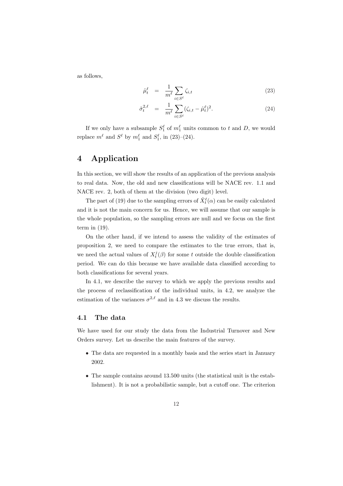as follows,

$$
\hat{\mu}_t^\ell = \frac{1}{m^\ell} \sum_{i \in S^\ell} \zeta_{i,t} \tag{23}
$$

$$
\hat{\sigma}_t^{2,\ell} = \frac{1}{m^{\ell}} \sum_{i \in S^{\ell}} (\zeta_{i,t} - \hat{\mu}_t^{\ell})^2.
$$
 (24)

If we only have a subsample  $S_1^{\ell}$  of  $m_1^{\ell}$  units common to t and D, we would replace  $m^{\ell}$  and  $S^{\ell}$  by  $m_1^{\ell}$  and  $S_1^{\ell}$ , in (23)–(24).

# 4 Application

In this section, we will show the results of an application of the previous analysis to real data. Now, the old and new classifications will be NACE rev. 1.1 and NACE rev. 2, both of them at the division (two digit) level.

The part of (19) due to the sampling errors of  $\hat{X}_t^{\ell}(\alpha)$  can be easily calculated and it is not the main concern for us. Hence, we will assume that our sample is the whole population, so the sampling errors are null and we focus on the first term in (19).

On the other hand, if we intend to assess the validity of the estimates of proposition 2, we need to compare the estimates to the true errors, that is, we need the actual values of  $X_t^j(\beta)$  for some t outside the double classification period. We can do this because we have available data classified according to both classifications for several years.

In 4.1, we describe the survey to which we apply the previous results and the process of reclassification of the individual units, in 4.2, we analyze the estimation of the variances  $\sigma^{2,\ell}$  and in 4.3 we discuss the results.

#### 4.1 The data

We have used for our study the data from the Industrial Turnover and New Orders survey. Let us describe the main features of the survey.

- The data are requested in a monthly basis and the series start in January 2002.
- The sample contains around 13.500 units (the statistical unit is the establishment). It is not a probabilistic sample, but a cutoff one. The criterion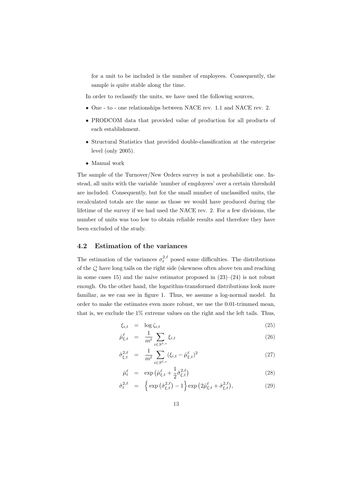for a unit to be included is the number of employees. Consequently, the sample is quite stable along the time.

In order to reclassify the units, we have used the following sources,

- One to one relationships between NACE rev. 1.1 and NACE rev. 2.
- PRODCOM data that provided value of production for all products of each establishment.
- Structural Statistics that provided double-classification at the enterprise level (only 2005).
- Manual work

The sample of the Turnover/New Orders survey is not a probabilistic one. Instead, all units with the variable 'number of employees' over a certain threshold are included. Consequently, but for the small number of unclassified units, the recalculated totals are the same as those we would have produced during the lifetime of the survey if we had used the NACE rev. 2. For a few divisions, the number of units was too low to obtain reliable results and therefore they have been excluded of the study.

## 4.2 Estimation of the variances

The estimation of the variances  $\sigma_t^{2,\ell}$  posed some difficulties. The distributions of the  $\zeta_t^i$  have long tails on the right side (skewness often above ten and reaching in some cases 15) and the naive estimator proposed in (23)–(24) is not robust enough. On the other hand, the logarithm-transformed distributions look more familiar, as we can see in figure 1. Thus, we assume a log-normal model. In order to make the estimates even more robust, we use the 0.01-trimmed mean, that is, we exclude the 1% extreme values on the right and the left tails. Thus,

$$
\xi_{i,t} = \log \zeta_{i,t} \tag{25}
$$

$$
\hat{\mu}_{\xi,t}^{\ell} = \frac{1}{m^{\ell}} \sum_{i \in S^{\ell,*}} \xi_{i,t} \tag{26}
$$

$$
\hat{\sigma}_{\xi,t}^{2,\ell} = \frac{1}{m^{\ell}} \sum_{i \in S^{\ell,*}} (\xi_{i,t} - \hat{\mu}_{\xi,t}^{\ell})^2 \tag{27}
$$

$$
\hat{\mu}_t^{\ell} = \exp\left(\hat{\mu}_{\xi,t}^{\ell} + \frac{1}{2}\hat{\sigma}_{\xi,t}^{2,\ell}\right)
$$
\n(28)

$$
\hat{\sigma}_t^{2,\ell} = \left\{ \exp\left(\hat{\sigma}_{\xi,t}^{2,\ell}\right) - 1 \right\} \exp\left(2\hat{\mu}_{\xi,t}^{\ell} + \hat{\sigma}_{\xi,t}^{2,\ell}\right),\tag{29}
$$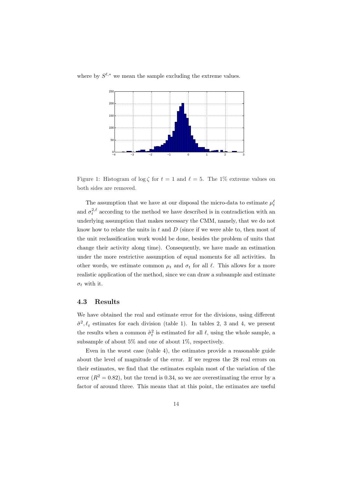



Figure 1: Histogram of  $\log \zeta$  for  $t = 1$  and  $\ell = 5$ . The 1% extreme values on both sides are removed.

The assumption that we have at our disposal the micro-data to estimate  $\mu_t^{\ell}$ and  $\sigma_t^{2,\ell}$  according to the method we have described is in contradiction with an underlying assumption that makes necessary the CMM, namely, that we do not know how to relate the units in  $t$  and  $D$  (since if we were able to, then most of the unit reclassification work would be done, besides the problem of units that change their activity along time). Consequently, we have made an estimation under the more restrictive assumption of equal moments for all activities. In other words, we estimate common  $\mu_t$  and  $\sigma_t$  for all  $\ell$ . This allows for a more realistic application of the method, since we can draw a subsample and estimate  $\sigma_t$  with it.

#### 4.3 Results

We have obtained the real and estimate error for the divisions, using different  $\hat{\sigma}^2, \ell_t$  estimates for each division (table 1). In tables 2, 3 and 4, we present the results when a common  $\hat{\sigma}_t^2$  is estimated for all  $\ell$ , using the whole sample, a subsample of about 5% and one of about 1%, respectively.

Even in the worst case (table 4), the estimates provide a reasonable guide about the level of magnitude of the error. If we regress the 28 real errors on their estimates, we find that the estimates explain most of the variation of the error  $(R^2 = 0.82)$ , but the trend is 0.34, so we are overestimating the error by a factor of around three. This means that at this point, the estimates are useful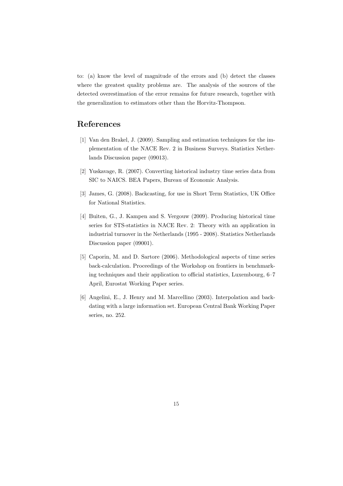to: (a) know the level of magnitude of the errors and (b) detect the classes where the greatest quality problems are. The analysis of the sources of the detected overestimation of the error remains for future research, together with the generalization to estimators other than the Horvitz-Thompson.

# References

- [1] Van den Brakel, J. (2009). Sampling and estimation techniques for the implementation of the NACE Rev. 2 in Business Surveys. Statistics Netherlands Discussion paper (09013).
- [2] Yuskavage, R. (2007). Converting historical industry time series data from SIC to NAICS. BEA Papers, Bureau of Economic Analysis.
- [3] James, G. (2008). Backcasting, for use in Short Term Statistics, UK Office for National Statistics.
- [4] Buiten, G., J. Kampen and S. Vergouw (2009). Producing historical time series for STS-statistics in NACE Rev. 2: Theory with an application in industrial turnover in the Netherlands (1995 - 2008). Statistics Netherlands Discussion paper (09001).
- [5] Caporin, M. and D. Sartore (2006). Methodological aspects of time series back-calculation. Proceedings of the Workshop on frontiers in benchmarking techniques and their application to official statistics, Luxembourg, 6–7 April, Eurostat Working Paper series.
- [6] Angelini, E., J. Henry and M. Marcellino (2003). Interpolation and backdating with a large information set. European Central Bank Working Paper series, no. 252.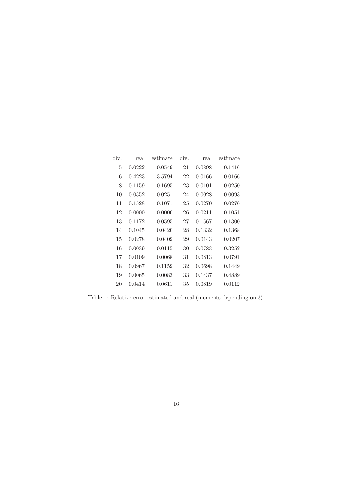| div. | real   | estimate | div. | real   | estimate |
|------|--------|----------|------|--------|----------|
| 5    | 0.0222 | 0.0549   | 21   | 0.0898 | 0.1416   |
| 6    | 0.4223 | 3.5794   | 22   | 0.0166 | 0.0166   |
| 8    | 0.1159 | 0.1695   | 23   | 0.0101 | 0.0250   |
| 10   | 0.0352 | 0.0251   | 24   | 0.0028 | 0.0093   |
| 11   | 0.1528 | 0.1071   | 25   | 0.0270 | 0.0276   |
| 12   | 0.0000 | 0.0000   | 26   | 0.0211 | 0.1051   |
| 13   | 0.1172 | 0.0595   | 27   | 0.1567 | 0.1300   |
| 14   | 0.1045 | 0.0420   | 28   | 0.1332 | 0.1368   |
| 15   | 0.0278 | 0.0409   | 29   | 0.0143 | 0.0207   |
| 16   | 0.0039 | 0.0115   | 30   | 0.0783 | 0.3252   |
| 17   | 0.0109 | 0.0068   | 31   | 0.0813 | 0.0791   |
| 18   | 0.0967 | 0.1159   | 32   | 0.0698 | 0.1449   |
| 19   | 0.0065 | 0.0083   | 33   | 0.1437 | 0.4889   |
| 20   | 0.0414 | 0.0611   | 35   | 0.0819 | 0.0112   |

Table 1: Relative error estimated and real (moments depending on  $\ell).$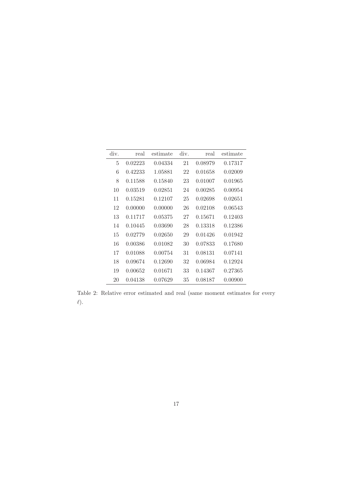| div. | real    | estimate | div. | real    | estimate |
|------|---------|----------|------|---------|----------|
| 5    | 0.02223 | 0.04334  | 21   | 0.08979 | 0.17317  |
| 6    | 0.42233 | 1.05881  | 22   | 0.01658 | 0.02009  |
| 8    | 0.11588 | 0.15840  | 23   | 0.01007 | 0.01965  |
| 10   | 0.03519 | 0.02851  | 24   | 0.00285 | 0.00954  |
| 11   | 0.15281 | 0.12107  | 25   | 0.02698 | 0.02651  |
| 12   | 0.00000 | 0.00000  | 26   | 0.02108 | 0.06543  |
| 13   | 0.11717 | 0.05375  | 27   | 0.15671 | 0.12403  |
| 14   | 0.10445 | 0.03690  | 28   | 0.13318 | 0.12386  |
| 15   | 0.02779 | 0.02650  | 29   | 0.01426 | 0.01942  |
| 16   | 0.00386 | 0.01082  | 30   | 0.07833 | 0.17680  |
| 17   | 0.01088 | 0.00754  | 31   | 0.08131 | 0.07141  |
| 18   | 0.09674 | 0.12690  | 32   | 0.06984 | 0.12924  |
| 19   | 0.00652 | 0.01671  | 33   | 0.14367 | 0.27365  |
| 20   | 0.04138 | 0.07629  | 35   | 0.08187 | 0.00900  |

Table 2: Relative error estimated and real (same moment estimates for every  $\ell$ ).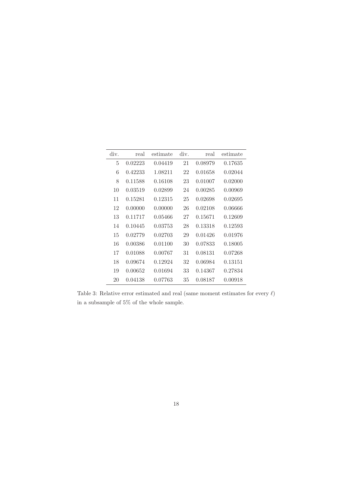| div. | real    | estimate | div. | real    | estimate |
|------|---------|----------|------|---------|----------|
| 5    | 0.02223 | 0.04419  | 21   | 0.08979 | 0.17635  |
| 6    | 0.42233 | 1.08211  | 22   | 0.01658 | 0.02044  |
| 8    | 0.11588 | 0.16108  | 23   | 0.01007 | 0.02000  |
| 10   | 0.03519 | 0.02899  | 24   | 0.00285 | 0.00969  |
| 11   | 0.15281 | 0.12315  | 25   | 0.02698 | 0.02695  |
| 12   | 0.00000 | 0.00000  | 26   | 0.02108 | 0.06666  |
| 13   | 0.11717 | 0.05466  | 27   | 0.15671 | 0.12609  |
| 14   | 0.10445 | 0.03753  | 28   | 0.13318 | 0.12593  |
| 15   | 0.02779 | 0.02703  | 29   | 0.01426 | 0.01976  |
| 16   | 0.00386 | 0.01100  | 30   | 0.07833 | 0.18005  |
| 17   | 0.01088 | 0.00767  | 31   | 0.08131 | 0.07268  |
| 18   | 0.09674 | 0.12924  | 32   | 0.06984 | 0.13151  |
| 19   | 0.00652 | 0.01694  | 33   | 0.14367 | 0.27834  |
| 20   | 0.04138 | 0.07763  | 35   | 0.08187 | 0.00918  |

Table 3: Relative error estimated and real (same moment estimates for every  $\ell$ ) in a subsample of 5% of the whole sample.